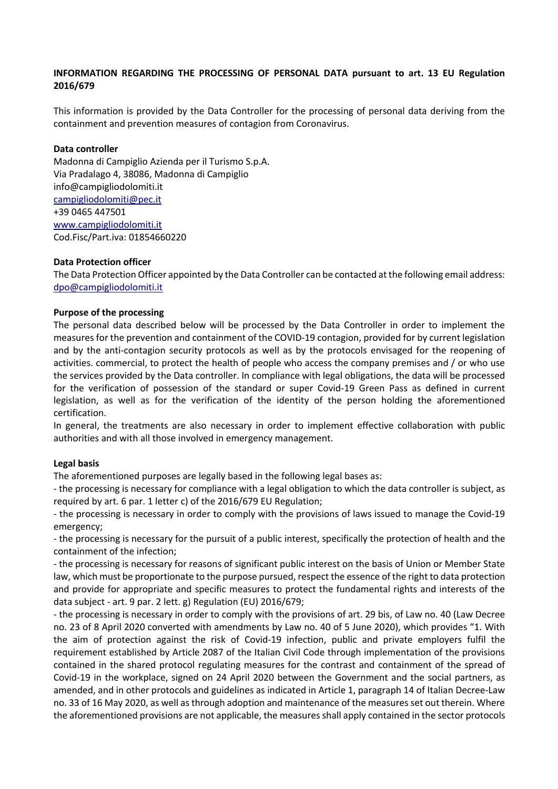## **INFORMATION REGARDING THE PROCESSING OF PERSONAL DATA pursuant to art. 13 EU Regulation 2016/679**

This information is provided by the Data Controller for the processing of personal data deriving from the containment and prevention measures of contagion from Coronavirus.

#### **Data controller**

Madonna di Campiglio Azienda per il Turismo S.p.A. Via Pradalago 4, 38086, Madonna di Campiglio info@campigliodolomiti.it campigliodolomiti@pec.it +39 0465 447501 www.campigliodolomiti.it Cod.Fisc/Part.iva: 01854660220

#### **Data Protection officer**

The Data Protection Officer appointed by the Data Controller can be contacted at the following email address: dpo@campigliodolomiti.it

#### **Purpose of the processing**

The personal data described below will be processed by the Data Controller in order to implement the measures for the prevention and containment of the COVID-19 contagion, provided for by current legislation and by the anti-contagion security protocols as well as by the protocols envisaged for the reopening of activities. commercial, to protect the health of people who access the company premises and / or who use the services provided by the Data controller. In compliance with legal obligations, the data will be processed for the verification of possession of the standard or super Covid-19 Green Pass as defined in current legislation, as well as for the verification of the identity of the person holding the aforementioned certification.

In general, the treatments are also necessary in order to implement effective collaboration with public authorities and with all those involved in emergency management.

#### **Legal basis**

The aforementioned purposes are legally based in the following legal bases as:

- the processing is necessary for compliance with a legal obligation to which the data controller is subject, as required by art. 6 par. 1 letter c) of the 2016/679 EU Regulation;

- the processing is necessary in order to comply with the provisions of laws issued to manage the Covid-19 emergency;

- the processing is necessary for the pursuit of a public interest, specifically the protection of health and the containment of the infection;

- the processing is necessary for reasons of significant public interest on the basis of Union or Member State law, which must be proportionate to the purpose pursued, respect the essence of the right to data protection and provide for appropriate and specific measures to protect the fundamental rights and interests of the data subject - art. 9 par. 2 lett. g) Regulation (EU) 2016/679;

- the processing is necessary in order to comply with the provisions of art. 29 bis, of Law no. 40 (Law Decree no. 23 of 8 April 2020 converted with amendments by Law no. 40 of 5 June 2020), which provides "1. With the aim of protection against the risk of Covid-19 infection, public and private employers fulfil the requirement established by Article 2087 of the Italian Civil Code through implementation of the provisions contained in the shared protocol regulating measures for the contrast and containment of the spread of Covid-19 in the workplace, signed on 24 April 2020 between the Government and the social partners, as amended, and in other protocols and guidelines as indicated in Article 1, paragraph 14 of Italian Decree-Law no. 33 of 16 May 2020, as well as through adoption and maintenance of the measures set out therein. Where the aforementioned provisions are not applicable, the measures shall apply contained in the sector protocols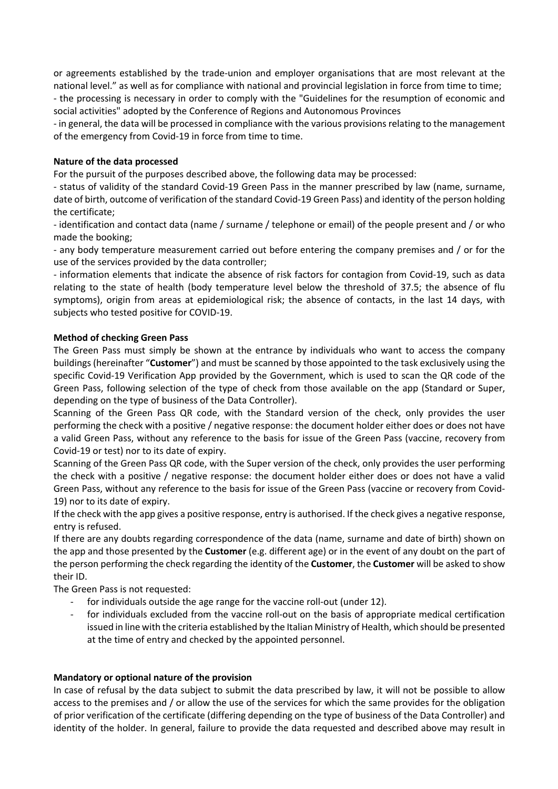or agreements established by the trade-union and employer organisations that are most relevant at the national level." as well as for compliance with national and provincial legislation in force from time to time; - the processing is necessary in order to comply with the "Guidelines for the resumption of economic and

social activities" adopted by the Conference of Regions and Autonomous Provinces

- in general, the data will be processed in compliance with the various provisions relating to the management of the emergency from Covid-19 in force from time to time.

## **Nature of the data processed**

For the pursuit of the purposes described above, the following data may be processed:

- status of validity of the standard Covid-19 Green Pass in the manner prescribed by law (name, surname, date of birth, outcome of verification of the standard Covid-19 Green Pass) and identity of the person holding the certificate;

- identification and contact data (name / surname / telephone or email) of the people present and / or who made the booking;

- any body temperature measurement carried out before entering the company premises and / or for the use of the services provided by the data controller;

- information elements that indicate the absence of risk factors for contagion from Covid-19, such as data relating to the state of health (body temperature level below the threshold of 37.5; the absence of flu symptoms), origin from areas at epidemiological risk; the absence of contacts, in the last 14 days, with subjects who tested positive for COVID-19.

## **Method of checking Green Pass**

The Green Pass must simply be shown at the entrance by individuals who want to access the company buildings (hereinafter "**Customer**") and must be scanned by those appointed to the task exclusively using the specific Covid-19 Verification App provided by the Government, which is used to scan the QR code of the Green Pass, following selection of the type of check from those available on the app (Standard or Super, depending on the type of business of the Data Controller).

Scanning of the Green Pass QR code, with the Standard version of the check, only provides the user performing the check with a positive / negative response: the document holder either does or does not have a valid Green Pass, without any reference to the basis for issue of the Green Pass (vaccine, recovery from Covid-19 or test) nor to its date of expiry.

Scanning of the Green Pass QR code, with the Super version of the check, only provides the user performing the check with a positive / negative response: the document holder either does or does not have a valid Green Pass, without any reference to the basis for issue of the Green Pass (vaccine or recovery from Covid-19) nor to its date of expiry.

If the check with the app gives a positive response, entry is authorised. If the check gives a negative response, entry is refused.

If there are any doubts regarding correspondence of the data (name, surname and date of birth) shown on the app and those presented by the **Customer** (e.g. different age) or in the event of any doubt on the part of the person performing the check regarding the identity of the **Customer**, the **Customer** will be asked to show their ID.

The Green Pass is not requested:

- for individuals outside the age range for the vaccine roll-out (under 12).
- for individuals excluded from the vaccine roll-out on the basis of appropriate medical certification issued in line with the criteria established by the Italian Ministry of Health, which should be presented at the time of entry and checked by the appointed personnel.

#### **Mandatory or optional nature of the provision**

In case of refusal by the data subject to submit the data prescribed by law, it will not be possible to allow access to the premises and / or allow the use of the services for which the same provides for the obligation of prior verification of the certificate (differing depending on the type of business of the Data Controller) and identity of the holder. In general, failure to provide the data requested and described above may result in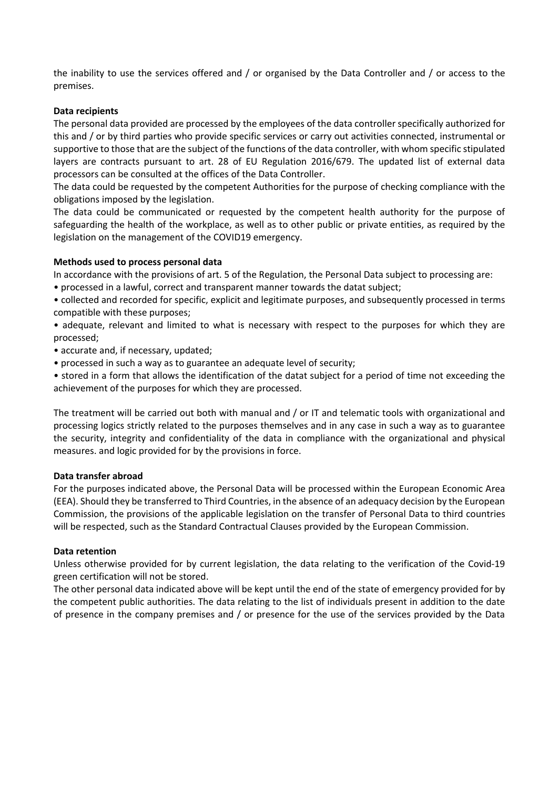the inability to use the services offered and / or organised by the Data Controller and / or access to the premises.

## **Data recipients**

The personal data provided are processed by the employees of the data controller specifically authorized for this and / or by third parties who provide specific services or carry out activities connected, instrumental or supportive to those that are the subject of the functions of the data controller, with whom specific stipulated layers are contracts pursuant to art. 28 of EU Regulation 2016/679. The updated list of external data processors can be consulted at the offices of the Data Controller.

The data could be requested by the competent Authorities for the purpose of checking compliance with the obligations imposed by the legislation.

The data could be communicated or requested by the competent health authority for the purpose of safeguarding the health of the workplace, as well as to other public or private entities, as required by the legislation on the management of the COVID19 emergency.

#### **Methods used to process personal data**

In accordance with the provisions of art. 5 of the Regulation, the Personal Data subject to processing are:

• processed in a lawful, correct and transparent manner towards the datat subject;

• collected and recorded for specific, explicit and legitimate purposes, and subsequently processed in terms compatible with these purposes;

• adequate, relevant and limited to what is necessary with respect to the purposes for which they are processed;

- accurate and, if necessary, updated;
- processed in such a way as to guarantee an adequate level of security;

• stored in a form that allows the identification of the datat subject for a period of time not exceeding the achievement of the purposes for which they are processed.

The treatment will be carried out both with manual and / or IT and telematic tools with organizational and processing logics strictly related to the purposes themselves and in any case in such a way as to guarantee the security, integrity and confidentiality of the data in compliance with the organizational and physical measures. and logic provided for by the provisions in force.

#### **Data transfer abroad**

For the purposes indicated above, the Personal Data will be processed within the European Economic Area (EEA). Should they be transferred to Third Countries, in the absence of an adequacy decision by the European Commission, the provisions of the applicable legislation on the transfer of Personal Data to third countries will be respected, such as the Standard Contractual Clauses provided by the European Commission.

#### **Data retention**

Unless otherwise provided for by current legislation, the data relating to the verification of the Covid-19 green certification will not be stored.

The other personal data indicated above will be kept until the end of the state of emergency provided for by the competent public authorities. The data relating to the list of individuals present in addition to the date of presence in the company premises and / or presence for the use of the services provided by the Data